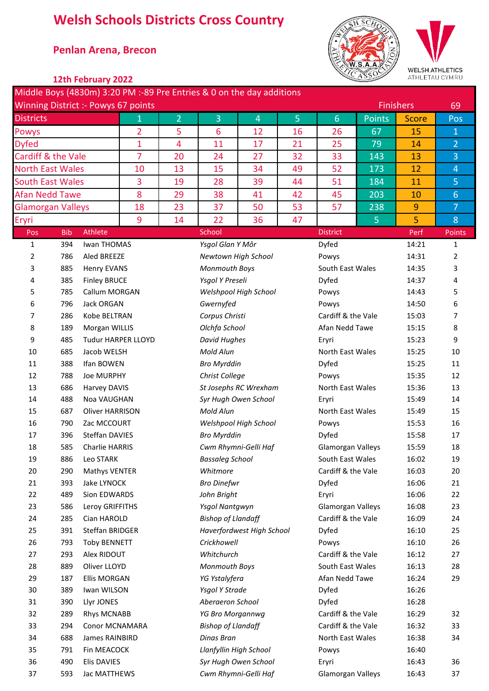## **Welsh Schools Districts Cross Country**

## \* **Penlan Arena, Brecon**



**WELSH ATHLETICS** -------<br>:YMRU

|                          |            | 12th February 2022                         |                |                |                                                                       |                       |                |                                        | ASS            | ATHLETAU CYMRU   |                  |
|--------------------------|------------|--------------------------------------------|----------------|----------------|-----------------------------------------------------------------------|-----------------------|----------------|----------------------------------------|----------------|------------------|------------------|
|                          |            |                                            |                |                | Middle Boys (4830m) 3:20 PM :-89 Pre Entries & 0 on the day additions |                       |                |                                        |                |                  |                  |
|                          |            | <b>Winning District :- Powys 67 points</b> |                |                |                                                                       |                       |                |                                        |                | <b>Finishers</b> | 69               |
| <b>Districts</b>         |            |                                            | $\mathbf{1}$   | $\overline{2}$ | 3                                                                     | $\overline{4}$        | 5 <sub>1</sub> | $6\phantom{1}6$                        | <b>Points</b>  | <b>Score</b>     | Pos              |
| Powys                    |            |                                            | $\overline{2}$ | 5              | 6                                                                     | 12                    | 16             | 26                                     | 67             | 15               | $\mathbf{1}$     |
| <b>Dyfed</b>             |            |                                            | 1              | $\overline{4}$ | 11                                                                    | 17                    | 21             | 25                                     | 79             | 14               | $\overline{2}$   |
| Cardiff & the Vale       |            |                                            | $\overline{7}$ | 20             | 24                                                                    | 27                    | 32             | 33                                     | 143            | 13               | 3                |
| <b>North East Wales</b>  |            |                                            | 10             | 13             | 15                                                                    | 34                    | 49             | 52                                     | 173            | 12               | $\overline{4}$   |
| <b>South East Wales</b>  |            |                                            | 3              | 19             | 28                                                                    | 39                    | 44             | 51                                     | 184            | 11               | 5                |
| <b>Afan Nedd Tawe</b>    |            |                                            | 8              | 29             | 38                                                                    | 41                    | 42             | 45                                     | 203            | 10               | $6 \overline{6}$ |
| <b>Glamorgan Valleys</b> |            |                                            | 18             | 23             | 37                                                                    | 50                    | 53             | 57                                     | 238            | 9                | 7 <sup>1</sup>   |
| Eryri                    |            |                                            |                | 14             | 22                                                                    | 36                    | 47             |                                        | 5 <sub>1</sub> | 5                | 8                |
| Pos                      | <b>Bib</b> | Athlete                                    | 9              |                | School                                                                |                       |                | <b>District</b>                        |                | Perf             | Points           |
| 1                        | 394        | Iwan THOMAS                                |                |                | Ysgol Glan Y Môr                                                      |                       |                | Dyfed                                  |                | 14:21            | $\mathbf{1}$     |
| 2                        | 786        | Aled BREEZE                                |                |                |                                                                       | Newtown High School   |                | Powys                                  |                | 14:31            | 2                |
| 3                        | 885        | <b>Henry EVANS</b>                         |                |                | Monmouth Boys                                                         |                       |                | South East Wales                       |                | 14:35            | 3                |
| 4                        | 385        | <b>Finley BRUCE</b>                        |                |                | Ysgol Y Preseli                                                       |                       |                | Dyfed                                  |                | 14:37            | 4                |
| 5                        | 785        | Callum MORGAN                              |                |                |                                                                       | Welshpool High School |                | Powys                                  |                | 14:43            | 5                |
| 6                        | 796        | Jack ORGAN                                 |                |                | Gwernyfed                                                             |                       |                | Powys                                  |                | 14:50            | 6                |
| 7                        | 286        | Kobe BELTRAN                               |                |                | Corpus Christi                                                        |                       |                | Cardiff & the Vale                     |                | 15:03            | 7                |
| 8                        | 189        | Morgan WILLIS                              |                |                | Olchfa School                                                         |                       |                | Afan Nedd Tawe                         |                | 15:15            | 8                |
| 9                        | 485        | <b>Tudur HARPER LLOYD</b>                  |                |                | <b>David Hughes</b>                                                   |                       |                | Eryri                                  |                | 15:23            | 9                |
| 10                       | 685        | Jacob WELSH                                |                |                | Mold Alun                                                             |                       |                | North East Wales                       |                | 15:25            | 10               |
| 11                       | 388        | Ifan BOWEN                                 |                |                | <b>Bro Myrddin</b>                                                    |                       |                | Dyfed                                  |                | 15:25            | 11               |
| 12                       | 788        | <b>Joe MURPHY</b>                          |                |                | Christ College                                                        |                       |                | Powys                                  |                | 15:35            | 12               |
| 13                       | 686        | Harvey DAVIS                               |                |                |                                                                       | St Josephs RC Wrexham |                | North East Wales                       |                | 15:36            | 13               |
| 14                       | 488        | Noa VAUGHAN                                |                |                | Syr Hugh Owen School                                                  |                       |                | Eryri                                  |                | 15:49            | 14               |
| 15                       | 687        | Oliver HARRISON                            |                |                | Mold Alun                                                             |                       |                | North East Wales                       |                | 15:49            | 15               |
| 16                       | 790        | Zac MCCOURT                                |                |                | Welshpool High School                                                 |                       |                | Powys                                  |                | 15:53            | 16               |
| 17                       | 396        | Steffan DAVIES                             |                |                | <b>Bro Myrddin</b>                                                    |                       |                | Dyfed                                  |                | 15:58            | 17               |
| 18                       | 585        | Charlie HARRIS                             |                |                |                                                                       | Cwm Rhymni-Gelli Haf  |                | Glamorgan Valleys                      |                | 15:59            | 18               |
| 19                       | 886        | Leo STARK                                  |                |                | <b>Bassaleg School</b>                                                |                       |                | South East Wales                       |                | 16:02            | 19               |
| 20                       | 290        | Mathys VENTER                              |                |                | Whitmore                                                              |                       |                | Cardiff & the Vale                     |                | 16:03            | 20               |
| 21                       | 393        | Jake LYNOCK                                |                |                | <b>Bro Dinefwr</b>                                                    |                       |                | Dyfed                                  |                | 16:06            | 21               |
| 22                       | 489        | Sion EDWARDS                               |                |                | John Bright                                                           |                       |                | Eryri                                  |                | 16:06            | 22               |
| 23                       | 586        | Leroy GRIFFITHS                            |                |                | Ysgol Nantgwyn                                                        |                       |                | Glamorgan Valleys                      |                | 16:08            | 23               |
| 24                       | 285        | Cian HAROLD                                |                |                | <b>Bishop of Llandaff</b>                                             |                       |                | Cardiff & the Vale                     |                | 16:09            | 24               |
| 25                       | 391        | Steffan BRIDGER                            |                |                | Haverfordwest High School                                             |                       |                | Dyfed                                  |                | 16:10            | 25               |
| 26                       | 793        | <b>Toby BENNETT</b>                        |                |                | Crickhowell<br>Whitchurch                                             |                       |                | Powys                                  |                | 16:10            | 26               |
| 27                       |            | Alex RIDOUT<br>293                         |                |                |                                                                       |                       |                | Cardiff & the Vale<br>South East Wales |                | 16:12            | 27               |
| 28                       | 889<br>187 | Oliver LLOYD                               |                |                | Monmouth Boys                                                         |                       |                |                                        |                | 16:13            | 28<br>29         |
| 29<br>30                 | 389        | <b>Ellis MORGAN</b><br>Iwan WILSON         |                |                | YG Ystalyfera<br>Ysgol Y Strade                                       |                       |                | Afan Nedd Tawe<br>Dyfed                |                | 16:24<br>16:26   |                  |
| 31                       | 390        |                                            |                |                | Aberaeron School                                                      |                       |                | Dyfed                                  |                | 16:28            |                  |
| 32                       | 289        | Llyr JONES                                 |                |                |                                                                       |                       |                | 16:29                                  |                |                  | 32               |
|                          |            | <b>Rhys MCNABB</b>                         |                |                | YG Bro Morgannwg                                                      |                       |                | Cardiff & the Vale                     |                |                  |                  |

33 294 Conor MCNAMARA *Bishop of Llandaff* Cardiff & the Vale 16:32 33 688 James RAINBIRD *Dinas Bran* North East Wales 16:38 34

 490 Elis DAVIES *Syr Hugh Owen School* Eryri 16:43 36 593 Jac MATTHEWS *Cwm Rhymni-Gelli Haf* Glamorgan Valleys 16:43 37

791 Fin MEACOCK *Llanfyllin High School* Powys 16:40